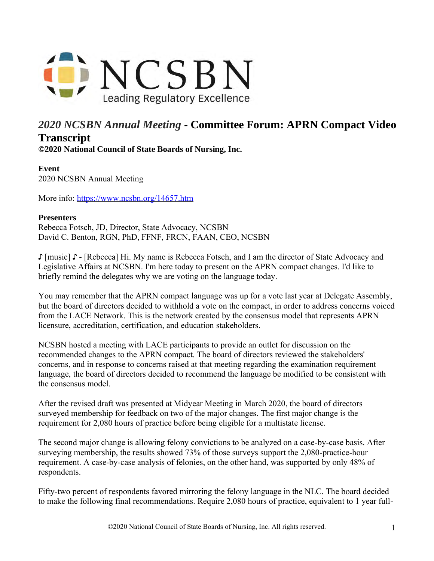

## *2020 NCSBN Annual Meeting* **- Committee Forum: APRN Compact Video Transcript**

**©2020 National Council of State Boards of Nursing, Inc.** 

## **Event** 2020 NCSBN Annual Meeting

More info: <https://www.ncsbn.org/14657.htm>

## **Presenters**

Rebecca Fotsch, JD, Director, State Advocacy, NCSBN David C. Benton, RGN, PhD, FFNF, FRCN, FAAN, CEO, NCSBN

♪ [music] ♪ - [Rebecca] Hi. My name is Rebecca Fotsch, and I am the director of State Advocacy and Legislative Affairs at NCSBN. I'm here today to present on the APRN compact changes. I'd like to briefly remind the delegates why we are voting on the language today.

You may remember that the APRN compact language was up for a vote last year at Delegate Assembly, but the board of directors decided to withhold a vote on the compact, in order to address concerns voiced from the LACE Network. This is the network created by the consensus model that represents APRN licensure, accreditation, certification, and education stakeholders.

NCSBN hosted a meeting with LACE participants to provide an outlet for discussion on the recommended changes to the APRN compact. The board of directors reviewed the stakeholders' concerns, and in response to concerns raised at that meeting regarding the examination requirement language, the board of directors decided to recommend the language be modified to be consistent with the consensus model.

After the revised draft was presented at Midyear Meeting in March 2020, the board of directors surveyed membership for feedback on two of the major changes. The first major change is the requirement for 2,080 hours of practice before being eligible for a multistate license.

The second major change is allowing felony convictions to be analyzed on a case-by-case basis. After surveying membership, the results showed 73% of those surveys support the 2,080-practice-hour requirement. A case-by-case analysis of felonies, on the other hand, was supported by only 48% of respondents.

Fifty-two percent of respondents favored mirroring the felony language in the NLC. The board decided to make the following final recommendations. Require 2,080 hours of practice, equivalent to 1 year full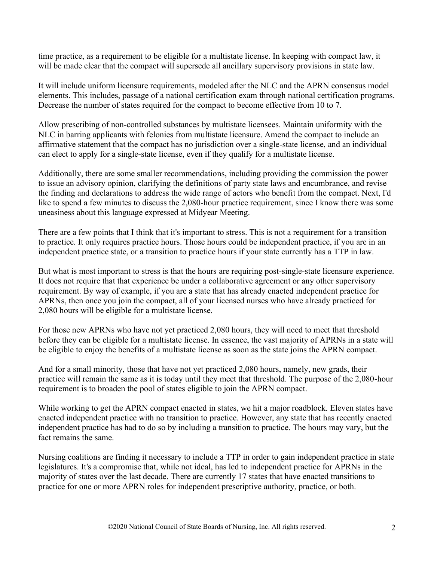time practice, as a requirement to be eligible for a multistate license. In keeping with compact law, it will be made clear that the compact will supersede all ancillary supervisory provisions in state law.

It will include uniform licensure requirements, modeled after the NLC and the APRN consensus model elements. This includes, passage of a national certification exam through national certification programs. Decrease the number of states required for the compact to become effective from 10 to 7.

Allow prescribing of non-controlled substances by multistate licensees. Maintain uniformity with the NLC in barring applicants with felonies from multistate licensure. Amend the compact to include an affirmative statement that the compact has no jurisdiction over a single-state license, and an individual can elect to apply for a single-state license, even if they qualify for a multistate license.

Additionally, there are some smaller recommendations, including providing the commission the power to issue an advisory opinion, clarifying the definitions of party state laws and encumbrance, and revise the finding and declarations to address the wide range of actors who benefit from the compact. Next, I'd like to spend a few minutes to discuss the 2,080-hour practice requirement, since I know there was some uneasiness about this language expressed at Midyear Meeting.

There are a few points that I think that it's important to stress. This is not a requirement for a transition to practice. It only requires practice hours. Those hours could be independent practice, if you are in an independent practice state, or a transition to practice hours if your state currently has a TTP in law.

But what is most important to stress is that the hours are requiring post-single-state licensure experience. It does not require that that experience be under a collaborative agreement or any other supervisory requirement. By way of example, if you are a state that has already enacted independent practice for APRNs, then once you join the compact, all of your licensed nurses who have already practiced for 2,080 hours will be eligible for a multistate license.

For those new APRNs who have not yet practiced 2,080 hours, they will need to meet that threshold before they can be eligible for a multistate license. In essence, the vast majority of APRNs in a state will be eligible to enjoy the benefits of a multistate license as soon as the state joins the APRN compact.

And for a small minority, those that have not yet practiced 2,080 hours, namely, new grads, their practice will remain the same as it is today until they meet that threshold. The purpose of the 2,080-hour requirement is to broaden the pool of states eligible to join the APRN compact.

While working to get the APRN compact enacted in states, we hit a major roadblock. Eleven states have enacted independent practice with no transition to practice. However, any state that has recently enacted independent practice has had to do so by including a transition to practice. The hours may vary, but the fact remains the same.

Nursing coalitions are finding it necessary to include a TTP in order to gain independent practice in state legislatures. It's a compromise that, while not ideal, has led to independent practice for APRNs in the majority of states over the last decade. There are currently 17 states that have enacted transitions to practice for one or more APRN roles for independent prescriptive authority, practice, or both.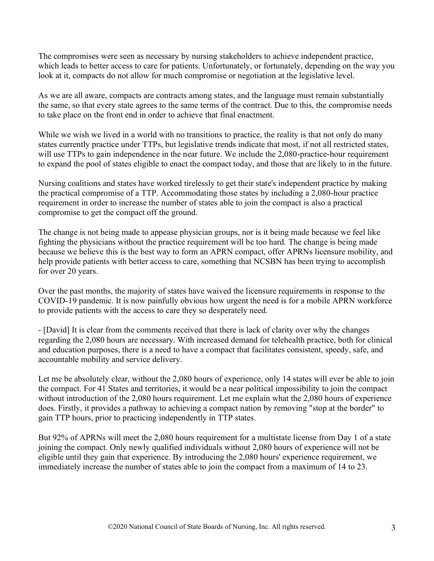The compromises were seen as necessary by nursing stakeholders to achieve independent practice, which leads to better access to care for patients. Unfortunately, or fortunately, depending on the way you look at it, compacts do not allow for much compromise or negotiation at the legislative level.

As we are all aware, compacts are contracts among states, and the language must remain substantially the same, so that every state agrees to the same terms of the contract. Due to this, the compromise needs to take place on the front end in order to achieve that final enactment.

While we wish we lived in a world with no transitions to practice, the reality is that not only do many states currently practice under TTPs, but legislative trends indicate that most, if not all restricted states, will use TTPs to gain independence in the near future. We include the 2,080-practice-hour requirement to expand the pool of states eligible to enact the compact today, and those that are likely to in the future.

Nursing coalitions and states have worked tirelessly to get their state's independent practice by making the practical compromise of a TTP. Accommodating those states by including a 2,080-hour practice requirement in order to increase the number of states able to join the compact is also a practical compromise to get the compact off the ground.

The change is not being made to appease physician groups, nor is it being made because we feel like fighting the physicians without the practice requirement will be too hard. The change is being made because we believe this is the best way to form an APRN compact, offer APRNs licensure mobility, and help provide patients with better access to care, something that NCSBN has been trying to accomplish for over 20 years.

Over the past months, the majority of states have waived the licensure requirements in response to the COVID-19 pandemic. It is now painfully obvious how urgent the need is for a mobile APRN workforce to provide patients with the access to care they so desperately need.

- [David] It is clear from the comments received that there is lack of clarity over why the changes regarding the 2,080 hours are necessary. With increased demand for telehealth practice, both for clinical and education purposes, there is a need to have a compact that facilitates consistent, speedy, safe, and accountable mobility and service delivery.

Let me be absolutely clear, without the 2,080 hours of experience, only 14 states will ever be able to join the compact. For 41 States and territories, it would be a near political impossibility to join the compact without introduction of the 2,080 hours requirement. Let me explain what the 2,080 hours of experience does. Firstly, it provides a pathway to achieving a compact nation by removing "stop at the border" to gain TTP hours, prior to practicing independently in TTP states.

But 92% of APRNs will meet the 2,080 hours requirement for a multistate license from Day 1 of a state joining the compact. Only newly qualified individuals without 2,080 hours of experience will not be eligible until they gain that experience. By introducing the 2,080 hours' experience requirement, we immediately increase the number of states able to join the compact from a maximum of 14 to 23.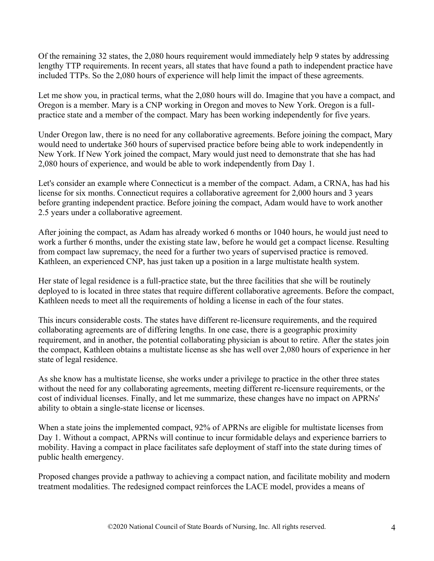Of the remaining 32 states, the 2,080 hours requirement would immediately help 9 states by addressing lengthy TTP requirements. In recent years, all states that have found a path to independent practice have included TTPs. So the 2,080 hours of experience will help limit the impact of these agreements.

Let me show you, in practical terms, what the 2,080 hours will do. Imagine that you have a compact, and Oregon is a member. Mary is a CNP working in Oregon and moves to New York. Oregon is a fullpractice state and a member of the compact. Mary has been working independently for five years.

Under Oregon law, there is no need for any collaborative agreements. Before joining the compact, Mary would need to undertake 360 hours of supervised practice before being able to work independently in New York. If New York joined the compact, Mary would just need to demonstrate that she has had 2,080 hours of experience, and would be able to work independently from Day 1.

Let's consider an example where Connecticut is a member of the compact. Adam, a CRNA, has had his license for six months. Connecticut requires a collaborative agreement for 2,000 hours and 3 years before granting independent practice. Before joining the compact, Adam would have to work another 2.5 years under a collaborative agreement.

After joining the compact, as Adam has already worked 6 months or 1040 hours, he would just need to work a further 6 months, under the existing state law, before he would get a compact license. Resulting from compact law supremacy, the need for a further two years of supervised practice is removed. Kathleen, an experienced CNP, has just taken up a position in a large multistate health system.

Her state of legal residence is a full-practice state, but the three facilities that she will be routinely deployed to is located in three states that require different collaborative agreements. Before the compact, Kathleen needs to meet all the requirements of holding a license in each of the four states.

This incurs considerable costs. The states have different re-licensure requirements, and the required collaborating agreements are of differing lengths. In one case, there is a geographic proximity requirement, and in another, the potential collaborating physician is about to retire. After the states join the compact, Kathleen obtains a multistate license as she has well over 2,080 hours of experience in her state of legal residence.

As she know has a multistate license, she works under a privilege to practice in the other three states without the need for any collaborating agreements, meeting different re-licensure requirements, or the cost of individual licenses. Finally, and let me summarize, these changes have no impact on APRNs' ability to obtain a single-state license or licenses.

When a state joins the implemented compact, 92% of APRNs are eligible for multistate licenses from Day 1. Without a compact, APRNs will continue to incur formidable delays and experience barriers to mobility. Having a compact in place facilitates safe deployment of staff into the state during times of public health emergency.

Proposed changes provide a pathway to achieving a compact nation, and facilitate mobility and modern treatment modalities. The redesigned compact reinforces the LACE model, provides a means of